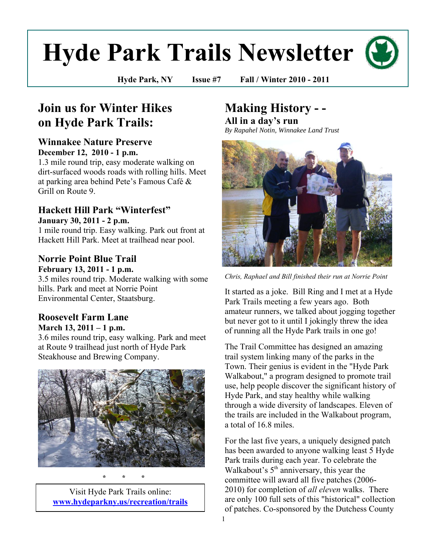# **Hyde Park Trails Newsletter**

**Hyde Park, NY Issue #7 Fall / Winter 2010 - 2011**

## **Join us for Winter Hikes on Hyde Park Trails:**

#### **Winnakee Nature Preserve December 12, 2010 - 1 p.m.**

1.3 mile round trip, easy moderate walking on dirt-surfaced woods roads with rolling hills. Meet at parking area behind Pete"s Famous Café & Grill on Route 9.

## **Hackett Hill Park "Winterfest"**

**January 30, 2011 - 2 p.m.** 

1 mile round trip. Easy walking. Park out front at Hackett Hill Park. Meet at trailhead near pool.

#### **Norrie Point Blue Trail February 13, 2011 - 1 p.m.**

3.5 miles round trip. Moderate walking with some hills. Park and meet at Norrie Point Environmental Center, Staatsburg.

#### **Roosevelt Farm Lane March 13, 2011 – 1 p.m.**

3.6 miles round trip, easy walking. Park and meet at Route 9 trailhead just north of Hyde Park Steakhouse and Brewing Company.



**\* \* \*** 

Visit Hyde Park Trails online: **[www.hydeparkny.us/recreation/trails](http://www.hydeparkny.us/recreation/trails)**

## **Making History - -**

**All in a day's run** *By Rapahel Notin, Winnakee Land Trust*



*Chris, Raphael and Bill finished their run at Norrie Point*

It started as a joke. Bill Ring and I met at a Hyde Park Trails meeting a few years ago. Both amateur runners, we talked about jogging together but never got to it until I jokingly threw the idea of running all the Hyde Park trails in one go!

The Trail Committee has designed an amazing trail system linking many of the parks in the Town. Their genius is evident in the "Hyde Park Walkabout," a program designed to promote trail use, help people discover the significant history of Hyde Park, and stay healthy while walking through a wide diversity of landscapes. Eleven of the trails are included in the Walkabout program, a total of 16.8 miles.

For the last five years, a uniquely designed patch has been awarded to anyone walking least 5 Hyde Park trails during each year. To celebrate the Walkabout's  $5<sup>th</sup>$  anniversary, this year the committee will award all five patches (2006- 2010) for completion of *all eleven* walks. There are only 100 full sets of this "historical" collection of patches. Co-sponsored by the Dutchess County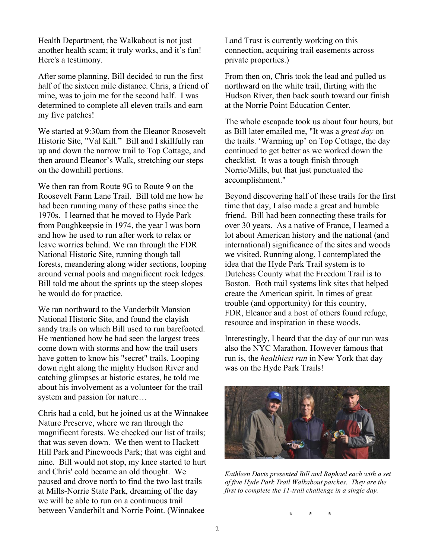Health Department, the Walkabout is not just another health scam; it truly works, and it's fun! Here's a testimony.

After some planning, Bill decided to run the first half of the sixteen mile distance. Chris, a friend of mine, was to join me for the second half. I was determined to complete all eleven trails and earn my five patches!

We started at 9:30am from the Eleanor Roosevelt Historic Site, "Val Kill." Bill and I skillfully ran up and down the narrow trail to Top Cottage, and then around Eleanor"s Walk, stretching our steps on the downhill portions.

We then ran from Route 9G to Route 9 on the Roosevelt Farm Lane Trail. Bill told me how he had been running many of these paths since the 1970s. I learned that he moved to Hyde Park from Poughkeepsie in 1974, the year I was born and how he used to run after work to relax or leave worries behind. We ran through the FDR National Historic Site, running though tall forests, meandering along wider sections, looping around vernal pools and magnificent rock ledges. Bill told me about the sprints up the steep slopes he would do for practice.

We ran northward to the Vanderbilt Mansion National Historic Site, and found the clayish sandy trails on which Bill used to run barefooted. He mentioned how he had seen the largest trees come down with storms and how the trail users have gotten to know his "secret" trails. Looping down right along the mighty Hudson River and catching glimpses at historic estates, he told me about his involvement as a volunteer for the trail system and passion for nature…

Chris had a cold, but he joined us at the Winnakee Nature Preserve, where we ran through the magnificent forests. We checked our list of trails; that was seven down. We then went to Hackett Hill Park and Pinewoods Park; that was eight and nine. Bill would not stop, my knee started to hurt and Chris' cold became an old thought. We paused and drove north to find the two last trails at Mills-Norrie State Park, dreaming of the day we will be able to run on a continuous trail between Vanderbilt and Norrie Point. (Winnakee

Land Trust is currently working on this connection, acquiring trail easements across private properties.)

From then on, Chris took the lead and pulled us northward on the white trail, flirting with the Hudson River, then back south toward our finish at the Norrie Point Education Center.

The whole escapade took us about four hours, but as Bill later emailed me, "It was a *great day* on the trails. "Warming up" on Top Cottage, the day continued to get better as we worked down the checklist. It was a tough finish through Norrie/Mills, but that just punctuated the accomplishment."

Beyond discovering half of these trails for the first time that day, I also made a great and humble friend. Bill had been connecting these trails for over 30 years. As a native of France, I learned a lot about American history and the national (and international) significance of the sites and woods we visited. Running along, I contemplated the idea that the Hyde Park Trail system is to Dutchess County what the Freedom Trail is to Boston. Both trail systems link sites that helped create the American spirit. In times of great trouble (and opportunity) for this country, FDR, Eleanor and a host of others found refuge, resource and inspiration in these woods.

Interestingly, I heard that the day of our run was also the NYC Marathon. However famous that run is, the *healthiest run* in New York that day was on the Hyde Park Trails!



*Kathleen Davis presented Bill and Raphael each with a set of five Hyde Park Trail Walkabout patches. They are the first to complete the 11-trail challenge in a single day.*

**\* \* \***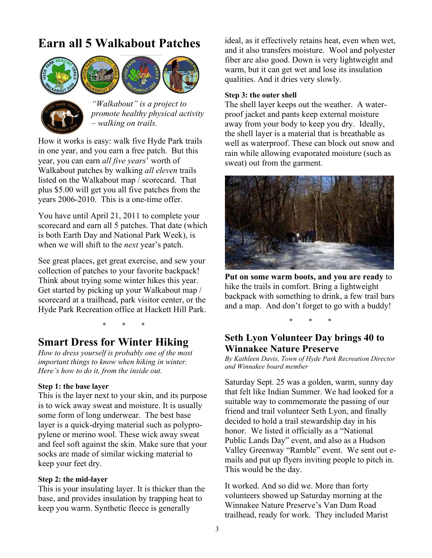## **Earn all 5 Walkabout Patches**





*"Walkabout" is a project to promote healthy physical activity – walking on trails.*

How it works is easy: walk five Hyde Park trails in one year, and you earn a free patch. But this year, you can earn *all five years*" worth of Walkabout patches by walking *all eleven* trails listed on the Walkabout map / scorecard. That plus \$5.00 will get you all five patches from the years 2006-2010. This is a one-time offer.

You have until April 21, 2011 to complete your scorecard and earn all 5 patches. That date (which is both Earth Day and National Park Week), is when we will shift to the *next* year's patch.

See great places, get great exercise, and sew your collection of patches to your favorite backpack! Think about trying some winter hikes this year. Get started by picking up your Walkabout map / scorecard at a trailhead, park visitor center, or the Hyde Park Recreation office at Hackett Hill Park.

**\* \* \*** 

## **Smart Dress for Winter Hiking**

*How to dress yourself is probably one of the most important things to know when hiking in winter. Here's how to do it, from the inside out.*

#### **Step 1: the base layer**

This is the layer next to your skin, and its purpose is to wick away sweat and moisture. It is usually some form of long underwear. The best base layer is a quick-drying material such as polypropylene or merino wool. These wick away sweat and feel soft against the skin. Make sure that your socks are made of similar wicking material to keep your feet dry.

#### **Step 2: the mid-layer**

This is your insulating layer. It is thicker than the base, and provides insulation by trapping heat to keep you warm. Synthetic fleece is generally

ideal, as it effectively retains heat, even when wet, and it also transfers moisture. Wool and polyester fiber are also good. Down is very lightweight and warm, but it can get wet and lose its insulation qualities. And it dries very slowly.

#### **Step 3: the outer shell**

The shell layer keeps out the weather. A waterproof jacket and pants keep external moisture away from your body to keep you dry. Ideally, the shell layer is a material that is breathable as well as waterproof. These can block out snow and rain while allowing evaporated moisture (such as sweat) out from the garment.



**Put on some warm boots, and you are ready** to hike the trails in comfort. Bring a lightweight backpack with something to drink, a few trail bars and a map. And don"t forget to go with a buddy!

**\* \* \*** 

#### **Seth Lyon Volunteer Day brings 40 to Winnakee Nature Preserve**

*By Kathleen Davis, Town of Hyde Park Recreation Director and Winnakee board member* 

Saturday Sept. 25 was a golden, warm, sunny day that felt like Indian Summer. We had looked for a suitable way to commemorate the passing of our friend and trail volunteer Seth Lyon, and finally decided to hold a trail stewardship day in his honor. We listed it officially as a "National Public Lands Day" event, and also as a Hudson Valley Greenway "Ramble" event. We sent out emails and put up flyers inviting people to pitch in. This would be the day.

It worked. And so did we. More than forty volunteers showed up Saturday morning at the Winnakee Nature Preserve"s Van Dam Road trailhead, ready for work. They included Marist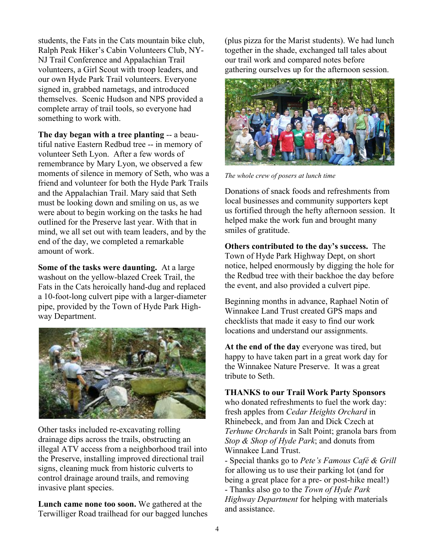students, the Fats in the Cats mountain bike club, Ralph Peak Hiker"s Cabin Volunteers Club, NY-NJ Trail Conference and Appalachian Trail volunteers, a Girl Scout with troop leaders, and our own Hyde Park Trail volunteers. Everyone signed in, grabbed nametags, and introduced themselves. Scenic Hudson and NPS provided a complete array of trail tools, so everyone had something to work with.

**The day began with a tree planting** -- a beautiful native Eastern Redbud tree -- in memory of volunteer Seth Lyon. After a few words of remembrance by Mary Lyon, we observed a few moments of silence in memory of Seth, who was a friend and volunteer for both the Hyde Park Trails and the Appalachian Trail. Mary said that Seth must be looking down and smiling on us, as we were about to begin working on the tasks he had outlined for the Preserve last year. With that in mind, we all set out with team leaders, and by the end of the day, we completed a remarkable amount of work.

**Some of the tasks were daunting.** At a large washout on the yellow-blazed Creek Trail, the Fats in the Cats heroically hand-dug and replaced a 10-foot-long culvert pipe with a larger-diameter pipe, provided by the Town of Hyde Park Highway Department.



Other tasks included re-excavating rolling drainage dips across the trails, obstructing an illegal ATV access from a neighborhood trail into the Preserve, installing improved directional trail signs, cleaning muck from historic culverts to control drainage around trails, and removing invasive plant species.

**Lunch came none too soon.** We gathered at the Terwilliger Road trailhead for our bagged lunches (plus pizza for the Marist students). We had lunch together in the shade, exchanged tall tales about our trail work and compared notes before gathering ourselves up for the afternoon session.



*The whole crew of posers at lunch time*

Donations of snack foods and refreshments from local businesses and community supporters kept us fortified through the hefty afternoon session. It helped make the work fun and brought many smiles of gratitude.

**Others contributed to the day's success.** The Town of Hyde Park Highway Dept, on short notice, helped enormously by digging the hole for the Redbud tree with their backhoe the day before the event, and also provided a culvert pipe.

Beginning months in advance, Raphael Notin of Winnakee Land Trust created GPS maps and checklists that made it easy to find our work locations and understand our assignments.

**At the end of the day** everyone was tired, but happy to have taken part in a great work day for the Winnakee Nature Preserve. It was a great tribute to Seth.

**THANKS to our Trail Work Party Sponsors**

who donated refreshments to fuel the work day: fresh apples from *Cedar Heights Orchard* in Rhinebeck, and from Jan and Dick Czech at *Terhune Orchards* in Salt Point; granola bars from *Stop & Shop of Hyde Park*; and donuts from Winnakee Land Trust.

- Special thanks go to *Pete's Famous Café & Grill* for allowing us to use their parking lot (and for being a great place for a pre- or post-hike meal!) - Thanks also go to the *Town of Hyde Park Highway Department* for helping with materials and assistance.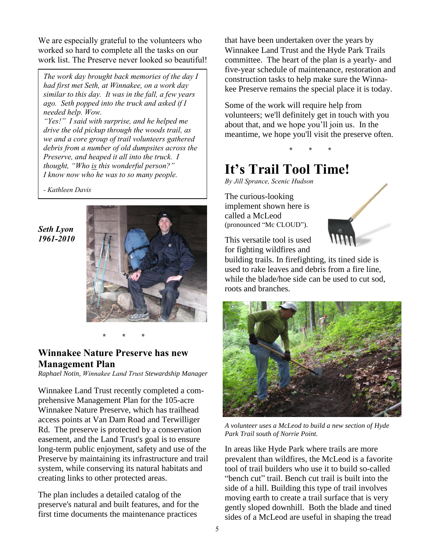We are especially grateful to the volunteers who worked so hard to complete all the tasks on our work list. The Preserve never looked so beautiful!

*The work day brought back memories of the day I had first met Seth, at Winnakee, on a work day similar to this day. It was in the fall, a few years ago. Seth popped into the truck and asked if I needed help. Wow.* 

*"Yes!" I said with surprise, and he helped me drive the old pickup through the woods trail, as we and a core group of trail volunteers gathered debris from a number of old dumpsites across the Preserve, and heaped it all into the truck. I thought, "Who is this wonderful person?" I know now who he was to so many people.*

*- Kathleen Davis*

#### *Seth Lyon 1961-2010*



#### **\* \* \***

#### **Winnakee Nature Preserve has new Management Plan**

*Raphael Notin, Winnakee Land Trust Stewardship Manager*

Winnakee Land Trust recently completed a comprehensive Management Plan for the 105-acre Winnakee Nature Preserve, which has trailhead access points at Van Dam Road and Terwilliger Rd. The preserve is protected by a conservation easement, and the Land Trust's goal is to ensure long-term public enjoyment, safety and use of the Preserve by maintaining its infrastructure and trail system, while conserving its natural habitats and creating links to other protected areas.

The plan includes a detailed catalog of the preserve's natural and built features, and for the first time documents the maintenance practices

that have been undertaken over the years by Winnakee Land Trust and the Hyde Park Trails committee. The heart of the plan is a yearly- and five-year schedule of maintenance, restoration and construction tasks to help make sure the Winnakee Preserve remains the special place it is today.

Some of the work will require help from volunteers; we'll definitely get in touch with you about that, and we hope you'll join us. In the meantime, we hope you'll visit the preserve often.

#### **\* \* \***

## **It's Trail Tool Time!**

*By Jill Sprance, Scenic Hudson*

The curious-looking implement shown here is called a McLeod (pronounced "Mc CLOUD").



This versatile tool is used for fighting wildfires and

building trails. In firefighting, its tined side is used to rake leaves and debris from a fire line, while the blade/hoe side can be used to cut sod, roots and branches.



*A volunteer uses a McLeod to build a new section of Hyde Park Trail south of Norrie Point.*

In areas like Hyde Park where trails are more prevalent than wildfires, the McLeod is a favorite tool of trail builders who use it to build so-called "bench cut" trail. Bench cut trail is built into the side of a hill. Building this type of trail involves moving earth to create a trail surface that is very gently sloped downhill. Both the blade and tined sides of a McLeod are useful in shaping the tread